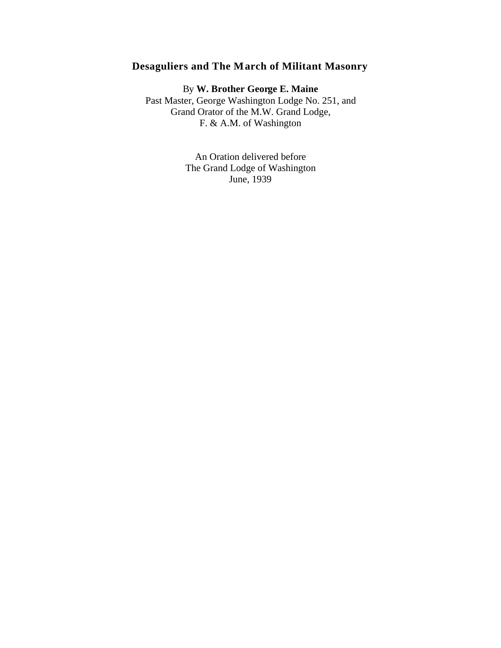## **Desaguliers and The March of Militant Masonry**

By **W. Brother George E. Maine** Past Master, George Washington Lodge No. 251, and Grand Orator of the M.W. Grand Lodge, F. & A.M. of Washington

> An Oration delivered before The Grand Lodge of Washington June, 1939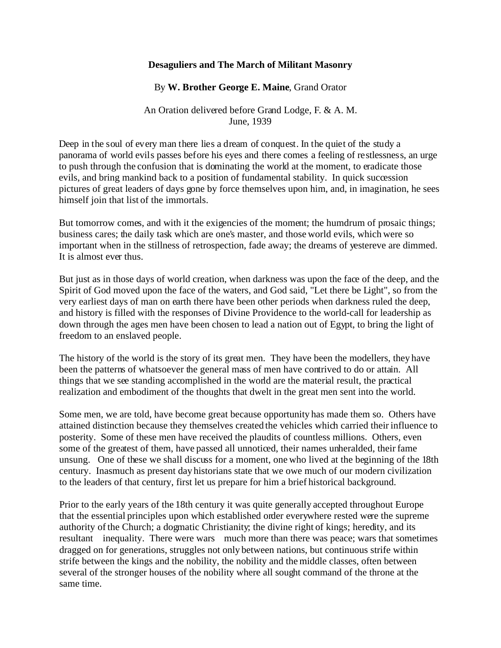## **Desaguliers and The March of Militant Masonry**

By **W. Brother George E. Maine**, Grand Orator

An Oration delivered before Grand Lodge, F. & A. M. June, 1939

Deep in the soul of every man there lies a dream of conquest. In the quiet of the study a panorama of world evils passes before his eyes and there comes a feeling of restlessness, an urge to push through the confusion that is dominating the world at the moment, to eradicate those evils, and bring mankind back to a position of fundamental stability. In quick succession pictures of great leaders of days gone by force themselves upon him, and, in imagination, he sees himself join that list of the immortals.

But tomorrow comes, and with it the exigencies of the moment; the humdrum of prosaic things; business cares; the daily task which are one's master, and those world evils, which were so important when in the stillness of retrospection, fade away; the dreams of yestereve are dimmed. It is almost ever thus.

But just as in those days of world creation, when darkness was upon the face of the deep, and the Spirit of God moved upon the face of the waters, and God said, "Let there be Light", so from the very earliest days of man on earth there have been other periods when darkness ruled the deep, and history is filled with the responses of Divine Providence to the world-call for leadership as down through the ages men have been chosen to lead a nation out of Egypt, to bring the light of freedom to an enslaved people.

The history of the world is the story of its great men. They have been the modellers, they have been the patterns of whatsoever the general mass of men have contrived to do or attain. All things that we see standing accomplished in the world are the material result, the practical realization and embodiment of the thoughts that dwelt in the great men sent into the world.

Some men, we are told, have become great because opportunity has made them so. Others have attained distinction because they themselves created the vehicles which carried their influence to posterity. Some of these men have received the plaudits of countless millions. Others, even some of the greatest of them, have passed all unnoticed, their names unheralded, their fame unsung. One of these we shall discuss for a moment, one who lived at the beginning of the 18th century. Inasmuch as present day historians state that we owe much of our modern civilization to the leaders of that century, first let us prepare for him a brief historical background.

Prior to the early years of the 18th century it was quite generally accepted throughout Europe that the essential principles upon which established order everywhere rested were the supreme authority of the Church; a dogmatic Christianity; the divine right of kings; heredity, and its resultant inequality. There were wars much more than there was peace; wars that sometimes dragged on for generations, struggles not only between nations, but continuous strife within strife between the kings and the nobility, the nobility and the middle classes, often between several of the stronger houses of the nobility where all sought command of the throne at the same time.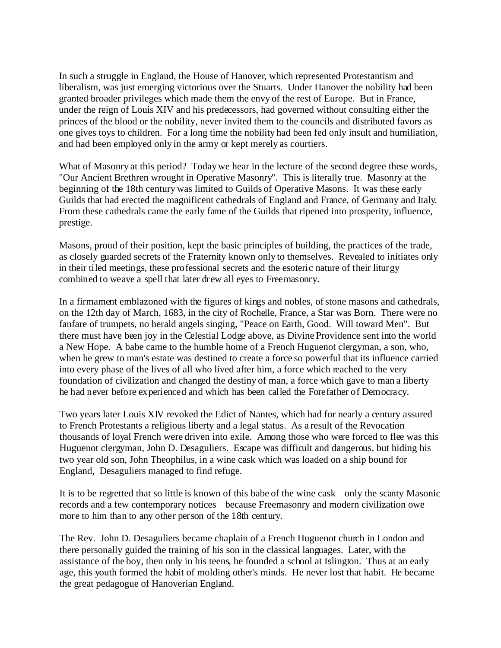In such a struggle in England, the House of Hanover, which represented Protestantism and liberalism, was just emerging victorious over the Stuarts. Under Hanover the nobility had been granted broader privileges which made them the envy of the rest of Europe. But in France, under the reign of Louis XIV and his predecessors, had governed without consulting either the princes of the blood or the nobility, never invited them to the councils and distributed favors as one gives toys to children. For a long time the nobility had been fed only insult and humiliation, and had been employed only in the army or kept merely as courtiers.

What of Masonry at this period? Today we hear in the lecture of the second degree these words, "Our Ancient Brethren wrought in Operative Masonry". This is literally true. Masonry at the beginning of the 18th century was limited to Guilds of Operative Masons. It was these early Guilds that had erected the magnificent cathedrals of England and France, of Germany and Italy. From these cathedrals came the early fame of the Guilds that ripened into prosperity, influence, prestige.

Masons, proud of their position, kept the basic principles of building, the practices of the trade, as closely guarded secrets of the Fraternity known only to themselves. Revealed to initiates only in their tiled meetings, these professional secrets and the esoteric nature of their liturgy combined to weave a spell that later drew all eyes to Freemasonry.

In a firmament emblazoned with the figures of kings and nobles, of stone masons and cathedrals, on the 12th day of March, 1683, in the city of Rochelle, France, a Star was Born. There were no fanfare of trumpets, no herald angels singing, "Peace on Earth, Good. Will toward Men". But there must have been joy in the Celestial Lodge above, as Divine Providence sent into the world a New Hope. A babe came to the humble home of a French Huguenot clergyman, a son, who, when he grew to man's estate was destined to create a force so powerful that its influence carried into every phase of the lives of all who lived after him, a force which reached to the very foundation of civilization and changed the destiny of man, a force which gave to man a liberty he had never before experienced and which has been called the Forefather of Democracy.

Two years later Louis XIV revoked the Edict of Nantes, which had for nearly a century assured to French Protestants a religious liberty and a legal status. As a result of the Revocation thousands of loyal French were driven into exile. Among those who were forced to flee was this Huguenot clergyman, John D. Desaguliers. Escape was difficult and dangerous, but hiding his two year old son, John Theophilus, in a wine cask which was loaded on a ship bound for England, Desaguliers managed to find refuge.

It is to be regretted that so little is known of this babe of the wine cask only the scanty Masonic records and a few contemporary notices because Freemasonry and modern civilization owe more to him than to any other person of the 18th century.

The Rev. John D. Desaguliers became chaplain of a French Huguenot church in London and there personally guided the training of his son in the classical languages. Later, with the assistance of the boy, then only in his teens, he founded a school at Islington. Thus at an early age, this youth formed the habit of molding other's minds. He never lost that habit. He became the great pedagogue of Hanoverian England.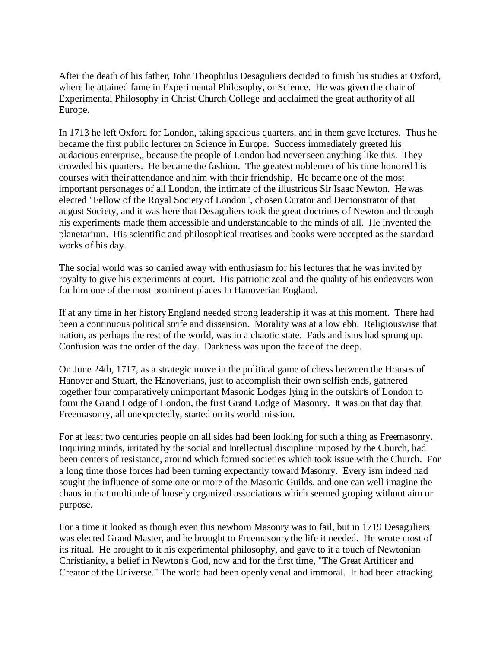After the death of his father, John Theophilus Desaguliers decided to finish his studies at Oxford, where he attained fame in Experimental Philosophy, or Science. He was given the chair of Experimental Philosophy in Christ Church College and acclaimed the great authority of all Europe.

In 1713 he left Oxford for London, taking spacious quarters, and in them gave lectures. Thus he became the first public lecturer on Science in Europe. Success immediately greeted his audacious enterprise,, because the people of London had never seen anything like this. They crowded his quarters. He became the fashion. The greatest noblemen of his time honored his courses with their attendance and him with their friendship. He became one of the most important personages of all London, the intimate of the illustrious Sir Isaac Newton. He was elected "Fellow of the Royal Society of London", chosen Curator and Demonstrator of that august Society, and it was here that Desaguliers took the great doctrines of Newton and through his experiments made them accessible and understandable to the minds of all. He invented the planetarium. His scientific and philosophical treatises and books were accepted as the standard works of his day.

The social world was so carried away with enthusiasm for his lectures that he was invited by royalty to give his experiments at court. His patriotic zeal and the quality of his endeavors won for him one of the most prominent places In Hanoverian England.

If at any time in her history England needed strong leadership it was at this moment. There had been a continuous political strife and dissension. Morality was at a low ebb. Religiouswise that nation, as perhaps the rest of the world, was in a chaotic state. Fads and isms had sprung up. Confusion was the order of the day. Darkness was upon the face of the deep.

On June 24th, 1717, as a strategic move in the political game of chess between the Houses of Hanover and Stuart, the Hanoverians, just to accomplish their own selfish ends, gathered together four comparatively unimportant Masonic Lodges lying in the outskirts of London to form the Grand Lodge of London, the first Grand Lodge of Masonry. It was on that day that Freemasonry, all unexpectedly, started on its world mission.

For at least two centuries people on all sides had been looking for such a thing as Freemasonry. Inquiring minds, irritated by the social and Intellectual discipline imposed by the Church, had been centers of resistance, around which formed societies which took issue with the Church. For a long time those forces had been turning expectantly toward Masonry. Every ism indeed had sought the influence of some one or more of the Masonic Guilds, and one can well imagine the chaos in that multitude of loosely organized associations which seemed groping without aim or purpose.

For a time it looked as though even this newborn Masonry was to fail, but in 1719 Desaguliers was elected Grand Master, and he brought to Freemasonry the life it needed. He wrote most of its ritual. He brought to it his experimental philosophy, and gave to it a touch of Newtonian Christianity, a belief in Newton's God, now and for the first time, "The Great Artificer and Creator of the Universe." The world had been openly venal and immoral. It had been attacking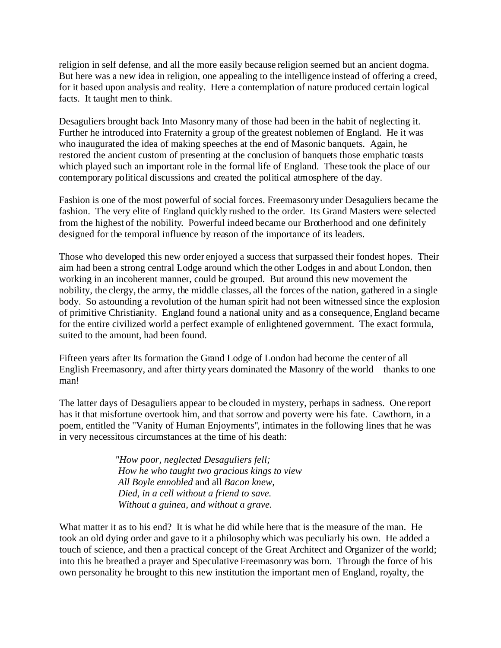religion in self defense, and all the more easily because religion seemed but an ancient dogma. But here was a new idea in religion, one appealing to the intelligence instead of offering a creed, for it based upon analysis and reality. Here a contemplation of nature produced certain logical facts. It taught men to think.

Desaguliers brought back Into Masonry many of those had been in the habit of neglecting it. Further he introduced into Fraternity a group of the greatest noblemen of England. He it was who inaugurated the idea of making speeches at the end of Masonic banquets. Again, he restored the ancient custom of presenting at the conclusion of banquets those emphatic toasts which played such an important role in the formal life of England. These took the place of our contemporary political discussions and created the political atmosphere of the day.

Fashion is one of the most powerful of social forces. Freemasonry under Desaguliers became the fashion. The very elite of England quickly rushed to the order. Its Grand Masters were selected from the highest of the nobility. Powerful indeed became our Brotherhood and one definitely designed for the temporal influence by reason of the importance of its leaders.

Those who developed this new order enjoyed a success that surpassed their fondest hopes. Their aim had been a strong central Lodge around which the other Lodges in and about London, then working in an incoherent manner, could be grouped. But around this new movement the nobility, the clergy, the army, the middle classes, all the forces of the nation, gathered in a single body. So astounding a revolution of the human spirit had not been witnessed since the explosion of primitive Christianity. England found a national unity and as a consequence, England became for the entire civilized world a perfect example of enlightened government. The exact formula, suited to the amount, had been found.

Fifteen years after Its formation the Grand Lodge of London had become the center of all English Freemasonry, and after thirty years dominated the Masonry of the world thanks to one man!

The latter days of Desaguliers appear to be clouded in mystery, perhaps in sadness. One report has it that misfortune overtook him, and that sorrow and poverty were his fate. Cawthorn, in a poem, entitled the "Vanity of Human Enjoyments", intimates in the following lines that he was in very necessitous circumstances at the time of his death:

> *"How poor, neglected Desaguliers fell; How he who taught two gracious kings to view All Boyle ennobled* and all *Bacon knew, Died, in a cell without a friend to save. Without a guinea, and without a grave.*

What matter it as to his end? It is what he did while here that is the measure of the man. He took an old dying order and gave to it a philosophy which was peculiarly his own. He added a touch of science, and then a practical concept of the Great Architect and Organizer of the world; into this he breathed a prayer and Speculative Freemasonry was born. Through the force of his own personality he brought to this new institution the important men of England, royalty, the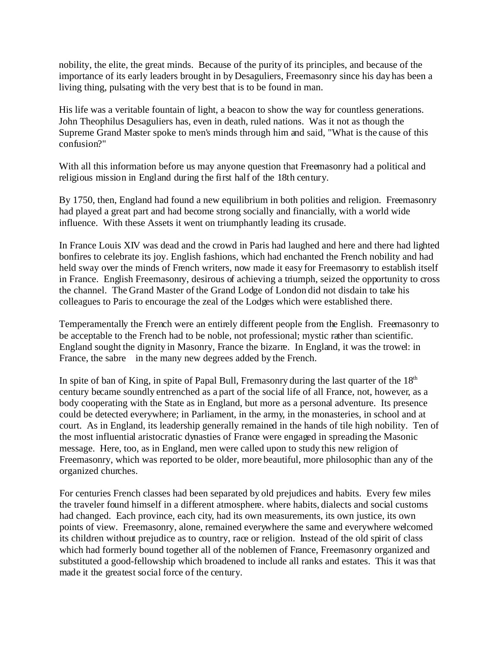nobility, the elite, the great minds. Because of the purity of its principles, and because of the importance of its early leaders brought in by Desaguliers, Freemasonry since his day has been a living thing, pulsating with the very best that is to be found in man.

His life was a veritable fountain of light, a beacon to show the way for countless generations. John Theophilus Desaguliers has, even in death, ruled nations. Was it not as though the Supreme Grand Master spoke to men's minds through him and said, "What is the cause of this confusion?"

With all this information before us may anyone question that Freemasonry had a political and religious mission in England during the first half of the 18th century.

By 1750, then, England had found a new equilibrium in both polities and religion. Freemasonry had played a great part and had become strong socially and financially, with a world wide influence. With these Assets it went on triumphantly leading its crusade.

In France Louis XIV was dead and the crowd in Paris had laughed and here and there had lighted bonfires to celebrate its joy. English fashions, which had enchanted the French nobility and had held sway over the minds of French writers, now made it easy for Freemasonry to establish itself in France. English Freemasonry, desirous of achieving a triumph, seized the opportunity to cross the channel. The Grand Master of the Grand Lodge of London did not disdain to take his colleagues to Paris to encourage the zeal of the Lodges which were established there.

Temperamentally the French were an entirely different people from the English. Freemasonry to be acceptable to the French had to be noble, not professional; mystic rather than scientific. England sought the dignity in Masonry, France the bizarre. In England, it was the trowel: in France, the sabre in the many new degrees added by the French.

In spite of ban of King, in spite of Papal Bull, Fremasonry during the last quarter of the  $18<sup>th</sup>$ century became soundly entrenched as a part of the social life of all France, not, however, as a body cooperating with the State as in England, but more as a personal adventure. Its presence could be detected everywhere; in Parliament, in the army, in the monasteries, in school and at court. As in England, its leadership generally remained in the hands of tile high nobility. Ten of the most influential aristocratic dynasties of France were engaged in spreading the Masonic message. Here, too, as in England, men were called upon to study this new religion of Freemasonry, which was reported to be older, more beautiful, more philosophic than any of the organized churches.

For centuries French classes had been separated by old prejudices and habits. Every few miles the traveler found himself in a different atmosphere. where habits, dialects and social customs had changed. Each province, each city, had its own measurements, its own justice, its own points of view. Freemasonry, alone, remained everywhere the same and everywhere welcomed its children without prejudice as to country, race or religion. Instead of the old spirit of class which had formerly bound together all of the noblemen of France, Freemasonry organized and substituted a good-fellowship which broadened to include all ranks and estates. This it was that made it the greatest social force of the century.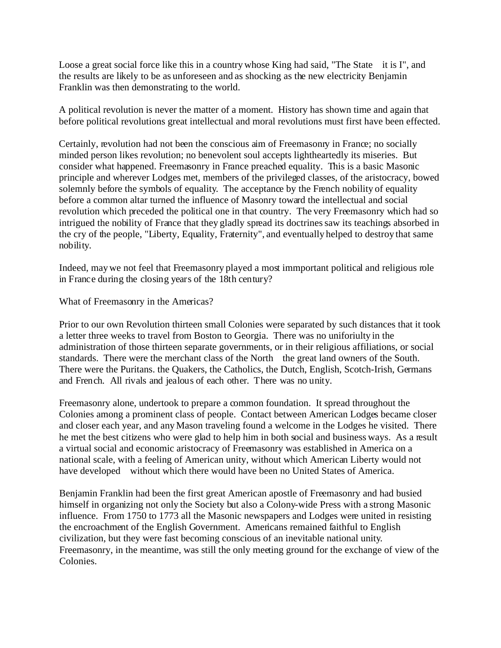Loose a great social force like this in a country whose King had said, "The State it is I", and the results are likely to be as unforeseen and as shocking as the new electricity Benjamin Franklin was then demonstrating to the world.

A political revolution is never the matter of a moment. History has shown time and again that before political revolutions great intellectual and moral revolutions must first have been effected.

Certainly, revolution had not been the conscious aim of Freemasonry in France; no socially minded person likes revolution; no benevolent soul accepts lightheartedly its miseries. But consider what happened. Freemasonry in France preached equality. This is a basic Masonic principle and wherever Lodges met, members of the privileged classes, of the aristocracy, bowed solemnly before the symbols of equality. The acceptance by the French nobility of equality before a common altar turned the influence of Masonry toward the intellectual and social revolution which preceded the political one in that country. The very Freemasonry which had so intrigued the nobility of France that they gladly spread its doctrines saw its teachings absorbed in the cry of the people, "Liberty, Equality, Fraternity", and eventually helped to destroy that same nobility.

Indeed, may we not feel that Freemasonry played a most immportant political and religious role in France during the closing years of the 18th century?

What of Freemasonry in the Americas?

Prior to our own Revolution thirteen small Colonies were separated by such distances that it took a letter three weeks to travel from Boston to Georgia. There was no uniforiulty in the administration of those thirteen separate governments, or in their religious affiliations, or social standards. There were the merchant class of the North the great land owners of the South. There were the Puritans. the Quakers, the Catholics, the Dutch, English, Scotch-Irish, Germans and French. All rivals and jealous of each other. There was no unity.

Freemasonry alone, undertook to prepare a common foundation. It spread throughout the Colonies among a prominent class of people. Contact between American Lodges became closer and closer each year, and any Mason traveling found a welcome in the Lodges he visited. There he met the best citizens who were glad to help him in both social and business ways. As a result a virtual social and economic aristocracy of Freemasonry was established in America on a national scale, with a feeling of American unity, without which American Liberty would not have developed without which there would have been no United States of America.

Benjamin Franklin had been the first great American apostle of Freemasonry and had busied himself in organizing not only the Society but also a Colony-wide Press with a strong Masonic influence. From 1750 to 1773 all the Masonic newspapers and Lodges were united in resisting the encroachment of the English Government. Americans remained faithful to English civilization, but they were fast becoming conscious of an inevitable national unity. Freemasonry, in the meantime, was still the only meeting ground for the exchange of view of the Colonies.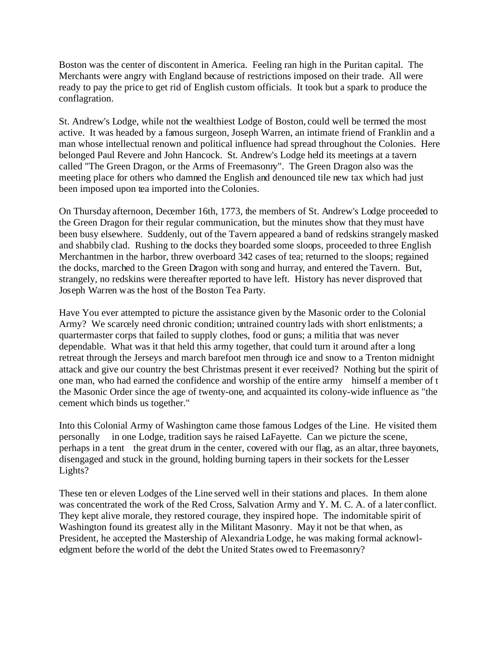Boston was the center of discontent in America. Feeling ran high in the Puritan capital. The Merchants were angry with England because of restrictions imposed on their trade. All were ready to pay the price to get rid of English custom officials. It took but a spark to produce the conflagration.

St. Andrew's Lodge, while not the wealthiest Lodge of Boston, could well be termed the most active. It was headed by a famous surgeon, Joseph Warren, an intimate friend of Franklin and a man whose intellectual renown and political influence had spread throughout the Colonies. Here belonged Paul Revere and John Hancock. St. Andrew's Lodge held its meetings at a tavern called "The Green Dragon, or the Arms of Freemasonry". The Green Dragon also was the meeting place for others who damned the English and denounced tile new tax which had just been imposed upon tea imported into the Colonies.

On Thursday afternoon, December 16th, 1773, the members of St. Andrew's Lodge proceeded to the Green Dragon for their regular communication, but the minutes show that they must have been busy elsewhere. Suddenly, out of the Tavern appeared a band of redskins strangely masked and shabbily clad. Rushing to the docks they boarded some sloops, proceeded to three English Merchantmen in the harbor, threw overboard 342 cases of tea; returned to the sloops; regained the docks, marched to the Green Dragon with song and hurray, and entered the Tavern. But, strangely, no redskins were thereafter reported to have left. History has never disproved that Joseph Warren was the host of the Boston Tea Party.

Have You ever attempted to picture the assistance given by the Masonic order to the Colonial Army? We scarcely need chronic condition; untrained country lads with short enlistments; a quartermaster corps that failed to supply clothes, food or guns; a militia that was never dependable. What was it that held this army together, that could turn it around after a long retreat through the Jerseys and march barefoot men through ice and snow to a Trenton midnight attack and give our country the best Christmas present it ever received? Nothing but the spirit of one man, who had earned the confidence and worship of the entire army himself a member of t the Masonic Order since the age of twenty-one, and acquainted its colony-wide influence as "the cement which binds us together."

Into this Colonial Army of Washington came those famous Lodges of the Line. He visited them personally in one Lodge, tradition says he raised LaFayette. Can we picture the scene, perhaps in a tent the great drum in the center, covered with our flag, as an altar, three bayonets, disengaged and stuck in the ground, holding burning tapers in their sockets for the Lesser Lights?

These ten or eleven Lodges of the Line served well in their stations and places. In them alone was concentrated the work of the Red Cross, Salvation Army and Y. M. C. A. of a later conflict. They kept alive morale, they restored courage, they inspired hope. The indomitable spirit of Washington found its greatest ally in the Militant Masonry. May it not be that when, as President, he accepted the Mastership of Alexandria Lodge, he was making formal acknowledgment before the world of the debt the United States owed to Freemasonry?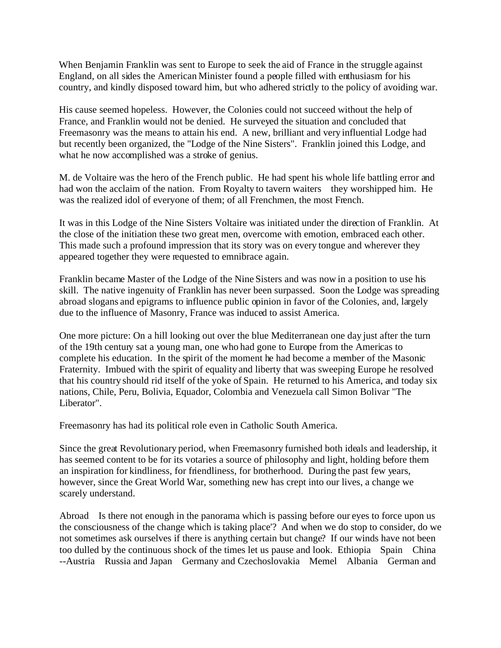When Benjamin Franklin was sent to Europe to seek the aid of France in the struggle against England, on all sides the American Minister found a people filled with enthusiasm for his country, and kindly disposed toward him, but who adhered strictly to the policy of avoiding war.

His cause seemed hopeless. However, the Colonies could not succeed without the help of France, and Franklin would not be denied. He surveyed the situation and concluded that Freemasonry was the means to attain his end. A new, brilliant and very influential Lodge had but recently been organized, the "Lodge of the Nine Sisters". Franklin joined this Lodge, and what he now accomplished was a stroke of genius.

M. de Voltaire was the hero of the French public. He had spent his whole life battling error and had won the acclaim of the nation. From Royalty to tavern waiters they worshipped him. He was the realized idol of everyone of them; of all Frenchmen, the most French.

It was in this Lodge of the Nine Sisters Voltaire was initiated under the direction of Franklin. At the close of the initiation these two great men, overcome with emotion, embraced each other. This made such a profound impression that its story was on every tongue and wherever they appeared together they were requested to emnibrace again.

Franklin became Master of the Lodge of the Nine Sisters and was now in a position to use his skill. The native ingenuity of Franklin has never been surpassed. Soon the Lodge was spreading abroad slogans and epigrams to influence public opinion in favor of the Colonies, and, largely due to the influence of Masonry, France was induced to assist America.

One more picture: On a hill looking out over the blue Mediterranean one day just after the turn of the 19th century sat a young man, one who had gone to Europe from the Americas to complete his education. In the spirit of the moment he had become a member of the Masonic Fraternity. Imbued with the spirit of equality and liberty that was sweeping Europe he resolved that his country should rid itself of the yoke of Spain. He returned to his America, and today six nations, Chile, Peru, Bolivia, Equador, Colombia and Venezuela call Simon Bolivar "The Liberator".

Freemasonry has had its political role even in Catholic South America.

Since the great Revolutionary period, when Freemasonry furnished both ideals and leadership, it has seemed content to be for its votaries a source of philosophy and light, holding before them an inspiration for kindliness, for friendliness, for brotherhood. During the past few years, however, since the Great World War, something new has crept into our lives, a change we scarely understand.

Abroad Is there not enough in the panorama which is passing before our eyes to force upon us the consciousness of the change which is taking place'? And when we do stop to consider, do we not sometimes ask ourselves if there is anything certain but change? If our winds have not been too dulled by the continuous shock of the times let us pause and look. Ethiopia Spain China --Austria Russia and Japan Germany and Czechoslovakia Memel Albania German and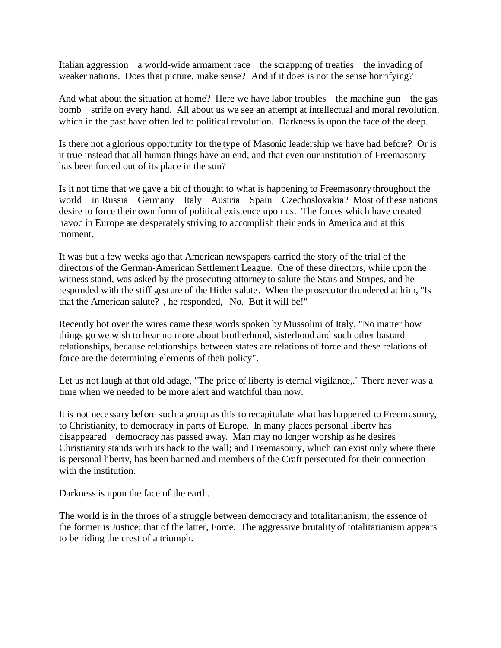Italian aggression a world-wide armament race the scrapping of treaties the invading of weaker nations. Does that picture, make sense? And if it does is not the sense horrifying?

And what about the situation at home? Here we have labor troubles the machine gun the gas bomb strife on every hand. All about us we see an attempt at intellectual and moral revolution, which in the past have often led to political revolution. Darkness is upon the face of the deep.

Is there not a glorious opportunity for the type of Masonic leadership we have had before? Or is it true instead that all human things have an end, and that even our institution of Freemasonry has been forced out of its place in the sun?

Is it not time that we gave a bit of thought to what is happening to Freemasonry throughout the world in Russia Germany Italy Austria Spain Czechoslovakia? Most of these nations desire to force their own form of political existence upon us. The forces which have created havoc in Europe are desperately striving to accomplish their ends in America and at this moment.

It was but a few weeks ago that American newspapers carried the story of the trial of the directors of the German-American Settlement League. One of these directors, while upon the witness stand, was asked by the prosecuting attorney to salute the Stars and Stripes, and he responded with the stiff gesture of the Hitler salute. When the prosecutor thundered at him, "Is that the American salute? , he responded, No. But it will be!"

Recently hot over the wires came these words spoken by Mussolini of Italy, "No matter how things go we wish to hear no more about brotherhood, sisterhood and such other bastard relationships, because relationships between states are relations of force and these relations of force are the determining elements of their policy".

Let us not laugh at that old adage, "The price of liberty is eternal vigilance,." There never was a time when we needed to be more alert and watchful than now.

It is not necessary before such a group as this to recapitulate what has happened to Freemasonry, to Christianity, to democracy in parts of Europe. In many places personal libertv has disappeared democracy has passed away. Man may no longer worship as he desires Christianity stands with its back to the wall; and Freemasonry, which can exist only where there is personal liberty, has been banned and members of the Craft persecuted for their connection with the institution.

Darkness is upon the face of the earth.

The world is in the throes of a struggle between democracy and totalitarianism; the essence of the former is Justice; that of the latter, Force. The aggressive brutality of totalitarianism appears to be riding the crest of a triumph.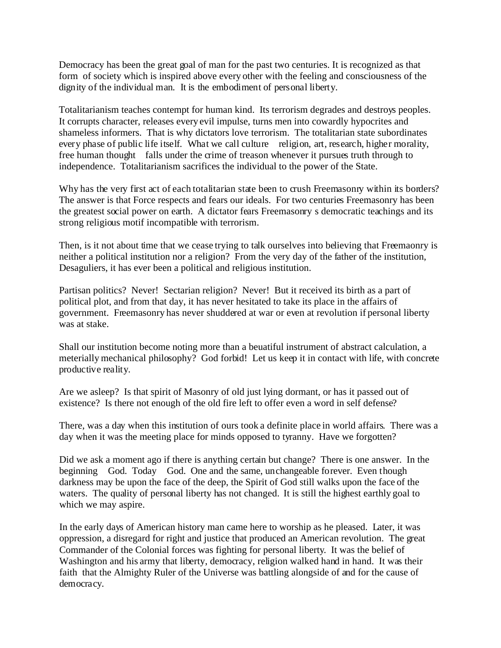Democracy has been the great goal of man for the past two centuries. It is recognized as that form of society which is inspired above every other with the feeling and consciousness of the dignity of the individual man. It is the embodiment of personal liberty.

Totalitarianism teaches contempt for human kind. Its terrorism degrades and destroys peoples. It corrupts character, releases every evil impulse, turns men into cowardly hypocrites and shameless informers. That is why dictators love terrorism. The totalitarian state subordinates every phase of public life itself. What we call culture religion, art, research, higher morality, free human thought falls under the crime of treason whenever it pursues truth through to independence. Totalitarianism sacrifices the individual to the power of the State.

Why has the very first act of each totalitarian state been to crush Freemasonry within its borders? The answer is that Force respects and fears our ideals. For two centuries Freemasonry has been the greatest social power on earth. A dictator fears Freemasonry s democratic teachings and its strong religious motif incompatible with terrorism.

Then, is it not about time that we cease trying to talk ourselves into believing that Freemaonry is neither a political institution nor a religion? From the very day of the father of the institution, Desaguliers, it has ever been a political and religious institution.

Partisan politics? Never! Sectarian religion? Never! But it received its birth as a part of political plot, and from that day, it has never hesitated to take its place in the affairs of government. Freemasonry has never shuddered at war or even at revolution if personal liberty was at stake.

Shall our institution become noting more than a beuatiful instrument of abstract calculation, a meterially mechanical philosophy? God forbid! Let us keep it in contact with life, with concrete productive reality.

Are we asleep? Is that spirit of Masonry of old just lying dormant, or has it passed out of existence? Is there not enough of the old fire left to offer even a word in self defense?

There, was a day when this institution of ours took a definite place in world affairs. There was a day when it was the meeting place for minds opposed to tyranny. Have we forgotten?

Did we ask a moment ago if there is anything certain but change? There is one answer. In the beginning God. Today God. One and the same, unchangeable forever. Even though darkness may be upon the face of the deep, the Spirit of God still walks upon the face of the waters. The quality of personal liberty has not changed. It is still the highest earthly goal to which we may aspire.

In the early days of American history man came here to worship as he pleased. Later, it was oppression, a disregard for right and justice that produced an American revolution. The great Commander of the Colonial forces was fighting for personal liberty. It was the belief of Washington and his army that liberty, democracy, religion walked hand in hand. It was their faith that the Almighty Ruler of the Universe was battling alongside of and for the cause of democracy.